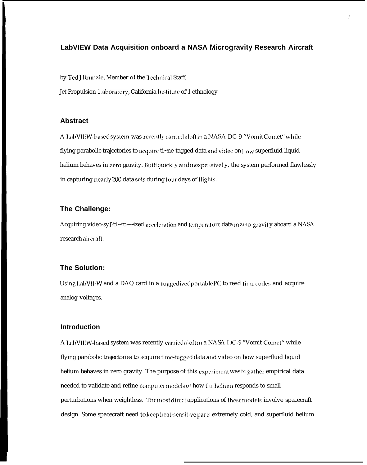# LabVIEW Data Acquisition onboard a NASA Microgravily Research Aircraft

by Ted J Brunzie, Member of the Technical Staff,

Jet Propulsion 1 aboratory, California Institute of 1 ethnology

#### **Abstract**

A LabVIEW-based system was recently carried aloft in a NASA DC-9 "Vomit Comet" while flying parabolic trajectories to acquire ti~ne-tagged data and video on how superfluid liquid helium behaves in zero gravity. Builtquickly and inexpensively, the system performed flawlessly in capturing nearly 200 data sets during four days of flights.

#### The Challenge:

Acquiring video-sy]?cl~ro~~ized acceleration and temperature data inzero-gravity aboard a NASA research aircraft.

#### **The Solution:**

Using LabVIEW and a DAQ card in a ruggedized portable PC to read time codes and acquire analog voltages.

# **Introduction**

A LabVIEW-based system was recently carriedaloft in a NASA I IC-9 "Vomit Comet" while flying parabolic trajectories to acquire time-tagged data and video on how superfluid liquid helium behaves in zero gravity. The purpose of this experiment was to gather empirical data needed to validate and refine computer models of how the helium responds to small perturbations when weightless. The most direct applications of these models involve spacecraft design. Some spacecraft need to keep heat-sensitive parts extremely cold, and superfluid helium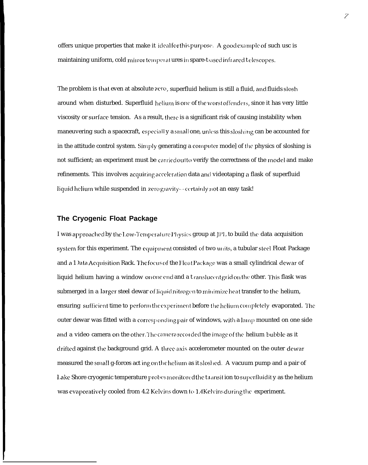offers unique properties that make it idealfor this purpose. A good example of such usc is maintaining uniform, cold mirror temperatures in spare-trased infrared telescopes.

The problem is that even at absolute zero, superfluid helium is still a fluid, and fluids slosh around when disturbed. Superfluid helium is one of the worst offenders, since it has very little viscosity or surface tension. As a result, there is a significant risk of causing instability when maneuvering such a spacecraft, especially a small one, unless this sloshing can be accounted for in the attitude control system. Simply generating a computer mode] of the physics of sloshing is not sufficient; an experiment must be carriedoutto verify the correctness of the model and make refinements. This involves acquiring acceleration data and videotaping a flask of superfluid liquid helium while suspended in zero gravity--certainly not an easy task!

#### The Cryogenic Float Package

I was approached by the Low-Temperature Physics group at JPL to build the data acquisition system for this experiment. The equipment consisted of two units, a tubular steel Float Package and a 1 Jata Acquisition Rack. The focus of the Float Package was a small cylindrical dewar of liquid helium having a window on one end and a t ranslucent grid on the other. This flask was submerged in a larger steel dewar of liquid nitrogen to minimize heat transfer to the helium, ensuring sufficient time to perform the experiment before the helium completely evaporated. The outer dewar was fitted with a corresponding pair of windows, with a lamp mounted on one side and a video camera on the other. The camerare corded the image of the helium bubble as it drifted against the background grid. A three axis accelerometer mounted on the outer dewar measured the small g-forces act ing on the helium as it sloshed. A vacuum pump and a pair of Lake Shore cryogenic temperature probes monitored the transition to superfluidity as the helium was evaporatively cooled from 4.2 Kelvins down to 1.4Kelvins during the experiment.

Ż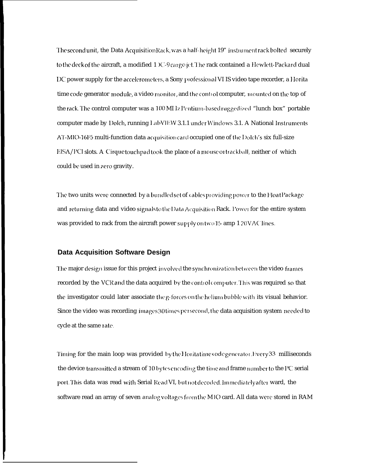The second unit, the Data Acquisition Rack, was a half-height 19" instrument rack bolted securely to the deck of the aircraft, a modified 1 )C-9ca1go jct. The rack contained a Hewlett-Packard dual DC power supply for the accelerometers, a Sony professional VI IS video tape recorder, a Horita time code generator module, a video monitor, and the control computer, mounted on the top of the rack. The control computer was a 100 MI lz Pentium-based ruggedized "lunch box" portable computer made by Dolch, running LabVIEW 3.1.1 under Windows 3.1. A National Instruments AT-MIO-16F5 multi-function data acquisition card occupied one of the Dolch's six full-size EISA/PCI slots. A Cirque touchpad took the place of a mouse ortrackball, neither of which could be used in zero gravity.

The two units were connected by a bundled set of cables providing power to the Float Package and returning data and video signalstothe Data Acquisition Rack. Power for the entire system was provided to rack from the aircraft power supply on two 15 amp 120VAC lines.

#### **Data Acquisition Software Design**

The major design issue for this project involved the synchronization between the video frames recorded by the VCR and the data acquired by the control computer. This was required so that the investigator could later associate the g-forces on the helium bubble with its visual behavior. Since the video was recording images 30times persecond, the data acquisition system needed to cycle at the same rate.

Timing for the main loop was provided by the Horitatime code generator. Every 33 milliseconds the device transmitted a stream of 10 bytes encoding the time and frame number to the PC serial port. This data was read with Serial Read VI, but not decoded. Immediately after ward, the software read an array of seven analog voltages from the MIO card. All data were stored in RAM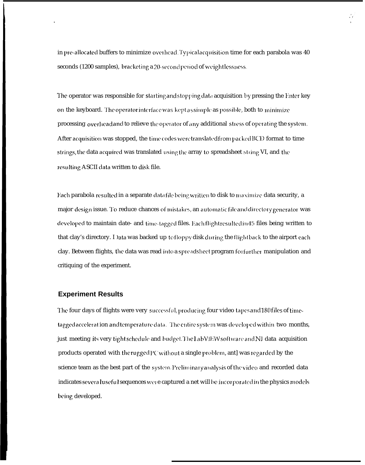in pre-allocated buffers to minimize overhead. Typical acquisition time for each parabola was 40 seconds (1200 samples), bracketing a 20-second period of weightlessness.

The operator was responsible for starting and stopping data acquisition by pressing the Enter key on the keyboard. The operator interface was kept as simple as possible, both to minimize processing overhead and to relieve the operator of any additional stress of operating the system. After acquisition was stopped, the time codes were translated from packed BCD format to time strings, the data acquired was translated using the array to spreadsheet string VI, and the resulting ASCII data written to disk file.

Each parabola resulted in a separate datafile being written to disk to maximize data security, a major design issue. To reduce chances of mistakes, an automatic file and directory generator was developed to maintain date- and time-tagged files. Eachflight resulted in 45 files being written to that clay's directory. I lata was backed up to floppy disk during the flight back to the airport each clay. Between flights, the data was read into a spreadsheet program for further manipulation and critiquing of the experiment.

#### **Experiment Results**

The four days of flights were very successful, producing four video tapes and 180 files of timetagged acceleration and temperature data. The entire system was developed within two months, just meeting its very tight schedule and budget. The LabVIEW software and NI data acquisition products operated with the rugged PC without a single problem, ant was regarded by the science team as the best part of the system. Preliminary analysis of the video and recorded data indicates several useful sequences were captured a net will be incorporated in the physics models being developed.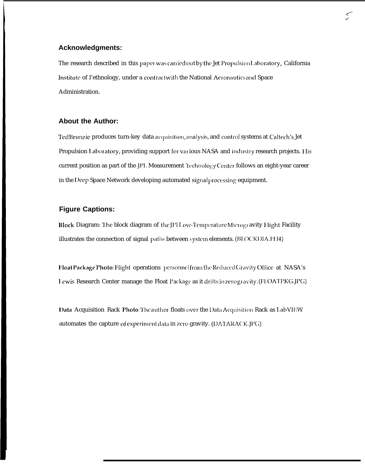# **Acknowledgments:**

The research described in this paper was carried out by the Jet Propulsion Laboratory, California Institute of Fethnology, under a contractwith the National Aeronautics and Space Administration.

# **About the Author:**

Ted Brunzie produces turn-key data acquisition, analysis, and control systems at Caltech's Jet Propulsion Laboratory, providing support for various NASA and industry research projects. His current position as part of the JPL Measurement Technology Center follows an eight-year career in the Deep Space Network developing automated signal processing equipment.

#### **Figure Captions:**

Block Diagram: The block diagram of the JPH ow-Temperature Microgravity Flight Facility illustrates the connection of signal paths between system elements. (BLOCKDIA.FFI4)

Float Package Photo: Flight operations personnel from the Reduced Gravity Office at NASA's Lewis Research Center manage the Float Package as it drifts in zero gravity. (FLOATPKG.JPG)

Data Acquisition Rack Photo: The author floats over the Data Acquisition Rack as LabVIEW automates the capture of experiment data in zero gravity. (DATARACK.JPG)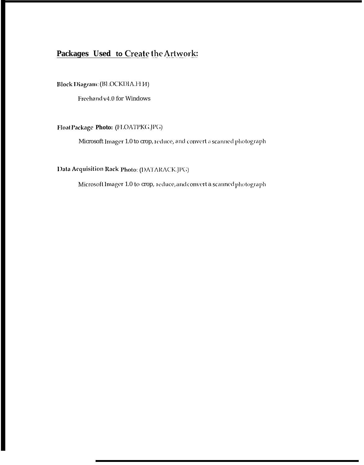# Packages Used to Create the Artwork:

Block Diagram: (BLOCKDIA.FH4)

Freehand v4.0 for Windows

Float Package Photo: (FLOATPKG.JPG)

Microsoft Imager 1.0 to crop, reduce, and convert a scanned photograph

Data Acquisition Rack Photo: (DATARACK.JPG)

Microsoft Imager 1.0 to crop, reduce, and convert a scanned photograph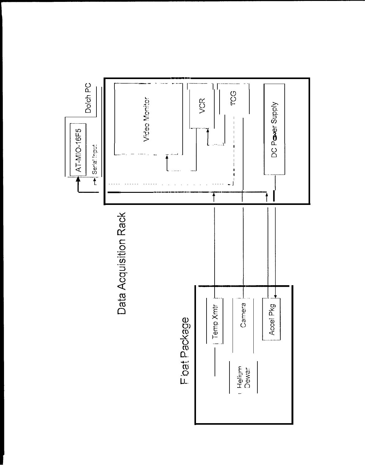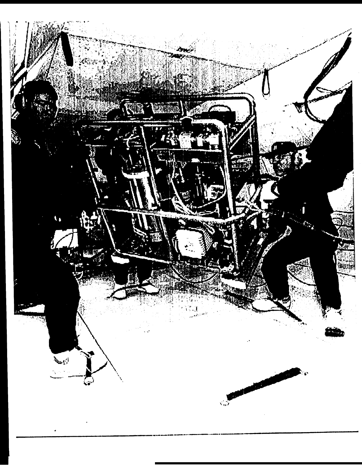